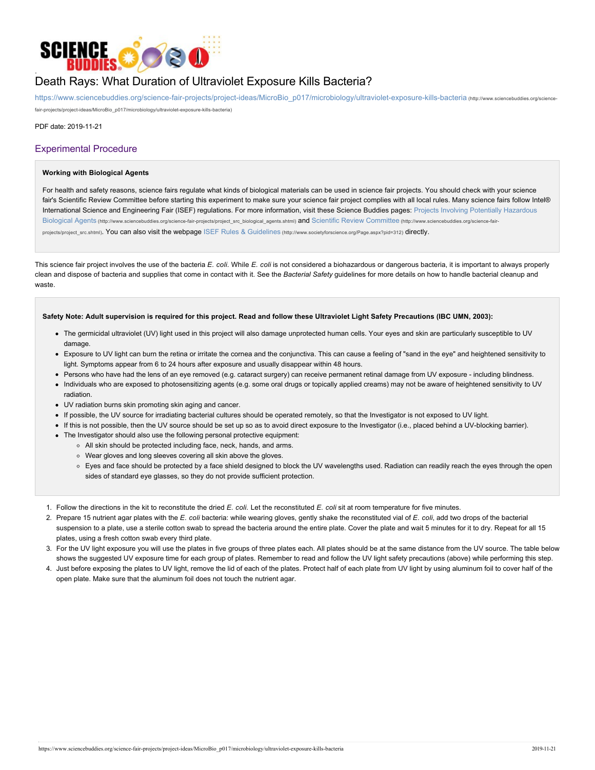

# Death Rays: What Duration of Ultraviolet Exposure Kills Bacteria?

https://www.sciencebuddies.org/science-fair-projects/project-ideas/MicroBio\_p017/microbiology/ultraviolet-exposure-kills-bacteria (http://www.sciencebuddies.org/sciencefair-projects/project-ideas/MicroBio\_p017/microbiology/ultraviolet-exposure-kills-bacteria)

PDF date: 2019-11-21

# Experimental Procedure

#### **Working with Biological Agents**

For health and safety reasons, science fairs regulate what kinds of biological materials can be used in science fair projects. You should check with your science fair's Scientific Review Committee before starting this experiment to make sure your science fair project complies with all local rules. Many science fairs follow Intel® International Science and Engineering Fair (ISEF) regulations. For more information, visit these Science Buddies pages: Projects Involving Potentially Hazardous Biological Agents (http://www.sciencebuddies.org/science-fair-projects/project\_src\_biological\_agents.shtml) and Scientific Review Committee (http://www.sciencebuddies.org/science-fairprojects/project\_src.shtml). You can also visit the webpage ISEF Rules & Guidelines (http://www.societyforscience.org/Page.aspx?pid=312) directly.

This science fair project involves the use of the bacteria *E. coli*. While *E. coli* is not considered a biohazardous or dangerous bacteria, it is important to always properly clean and dispose of bacteria and supplies that come in contact with it. See the *Bacterial Safety* guidelines for more details on how to handle bacterial cleanup and waste.

## **Safety Note: Adult supervision is required for this project. Read and follow these Ultraviolet Light Safety Precautions (IBC UMN, 2003):**

- The germicidal ultraviolet (UV) light used in this project will also damage unprotected human cells. Your eyes and skin are particularly susceptible to UV damage.
- Exposure to UV light can burn the retina or irritate the cornea and the conjunctiva. This can cause a feeling of "sand in the eye" and heightened sensitivity to light. Symptoms appear from 6 to 24 hours after exposure and usually disappear within 48 hours.
- Persons who have had the lens of an eye removed (e.g. cataract surgery) can receive permanent retinal damage from UV exposure including blindness.
- Individuals who are exposed to photosensitizing agents (e.g. some oral drugs or topically applied creams) may not be aware of heightened sensitivity to UV radiation.
- UV radiation burns skin promoting skin aging and cancer.
- If possible, the UV source for irradiating bacterial cultures should be operated remotely, so that the Investigator is not exposed to UV light.
- If this is not possible, then the UV source should be set up so as to avoid direct exposure to the Investigator (i.e., placed behind a UV-blocking barrier).
- The Investigator should also use the following personal protective equipment:
	- All skin should be protected including face, neck, hands, and arms.
	- Wear gloves and long sleeves covering all skin above the gloves.
	- Eyes and face should be protected by a face shield designed to block the UV wavelengths used. Radiation can readily reach the eyes through the open sides of standard eye glasses, so they do not provide sufficient protection.
- 1. Follow the directions in the kit to reconstitute the dried *E. coli*. Let the reconstituted *E. coli* sit at room temperature for five minutes.
- 2. Prepare 15 nutrient agar plates with the *E. coli* bacteria: while wearing gloves, gently shake the reconstituted vial of *E. coli*, add two drops of the bacterial suspension to a plate, use a sterile cotton swab to spread the bacteria around the entire plate. Cover the plate and wait 5 minutes for it to dry. Repeat for all 15 plates, using a fresh cotton swab every third plate.
- 3. For the UV light exposure you will use the plates in five groups of three plates each. All plates should be at the same distance from the UV source. The table below shows the suggested UV exposure time for each group of plates. Remember to read and follow the UV light safety precautions (above) while performing this step.
- 4. Just before exposing the plates to UV light, remove the lid of each of the plates. Protect half of each plate from UV light by using aluminum foil to cover half of the open plate. Make sure that the aluminum foil does not touch the nutrient agar.